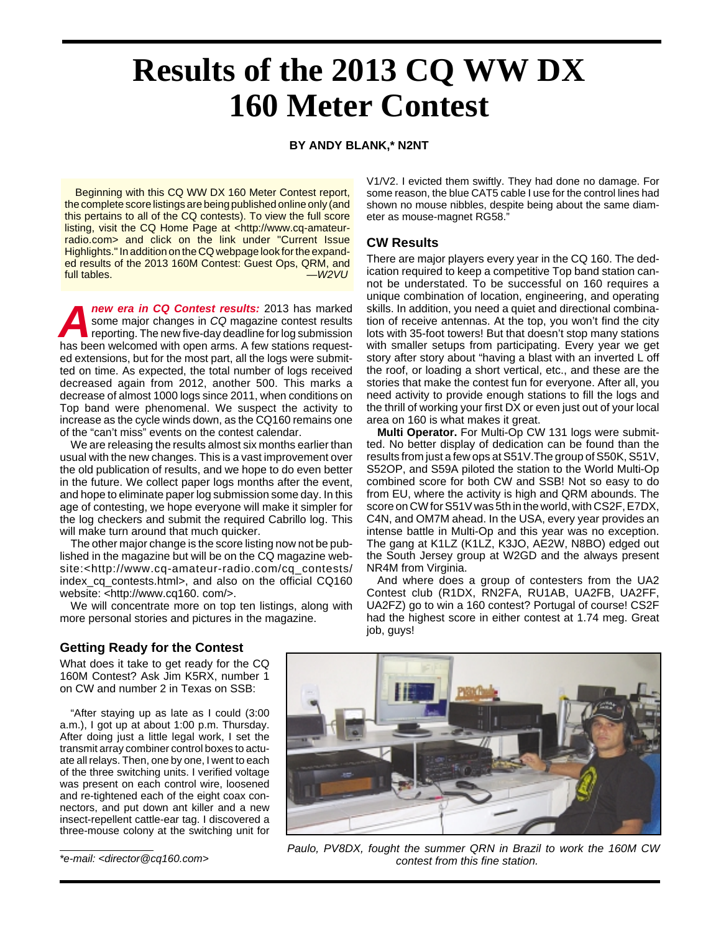# **Results of the 2013 CQ WW DX 160 Meter Contest**

#### **BY ANDY BLANK,\* N2NT**

Beginning with this CQ WW DX 160 Meter Contest report, the complete score listings are being published online only (and this pertains to all of the CQ contests). To view the full score listing, visit the CQ Home Page at <http://www.cq-amateurradio.com> and click on the link under "Current Issue Highlights." In addition on the CQ webpage look for the expanded results of the 2013 160M Contest: Guest Ops, QRM, and full tables. —W2VU

**Anew era in CQ Contest results:** 2013 has marked some major changes in CQ magazine contest results reporting. The new five-day deadline for log submission has been welcomed with open arms. A few stations requested extensions, but for the most part, all the logs were submitted on time. As expected, the total number of logs received decreased again from 2012, another 500. This marks a decrease of almost 1000 logs since 2011, when conditions on Top band were phenomenal. We suspect the activity to increase as the cycle winds down, as the CQ160 remains one of the "can't miss" events on the contest calendar.

We are releasing the results almost six months earlier than usual with the new changes. This is a vast improvement over the old publication of results, and we hope to do even better in the future. We collect paper logs months after the event, and hope to eliminate paper log submission some day. In this age of contesting, we hope everyone will make it simpler for the log checkers and submit the required Cabrillo log. This will make turn around that much quicker.

The other major change is the score listing now not be published in the magazine but will be on the CQ magazine website:<http://www.cq-amateur-radio.com/cq\_contests/ index\_cq\_contests.html>, and also on the official CQ160 website: <http://www.cq160. com/>.

We will concentrate more on top ten listings, along with more personal stories and pictures in the magazine.

V1/V2. I evicted them swiftly. They had done no damage. For some reason, the blue CAT5 cable I use for the control lines had shown no mouse nibbles, despite being about the same diameter as mouse-magnet RG58."

## **CW Results**

There are major players every year in the CQ 160. The dedication required to keep a competitive Top band station cannot be understated. To be successful on 160 requires a unique combination of location, engineering, and operating skills. In addition, you need a quiet and directional combination of receive antennas. At the top, you won't find the city lots with 35-foot towers! But that doesn't stop many stations with smaller setups from participating. Every year we get story after story about "having a blast with an inverted L off the roof, or loading a short vertical, etc., and these are the stories that make the contest fun for everyone. After all, you need activity to provide enough stations to fill the logs and the thrill of working your first DX or even just out of your local area on 160 is what makes it great.

**Multi Operator.** For Multi-Op CW 131 logs were submitted. No better display of dedication can be found than the results from just a few ops at S51V.The group of S50K, S51V, S52OP, and S59A piloted the station to the World Multi-Op combined score for both CW and SSB! Not so easy to do from EU, where the activity is high and QRM abounds. The score on CW for S51V was 5th in the world, with CS2F, E7DX, C4N, and OM7M ahead. In the USA, every year provides an intense battle in Multi-Op and this year was no exception. The gang at K1LZ (K1LZ, K3JO, AE2W, N8BO) edged out the South Jersey group at W2GD and the always present NR4M from Virginia.

And where does a group of contesters from the UA2 Contest club (R1DX, RN2FA, RU1AB, UA2FB, UA2FF, UA2FZ) go to win a 160 contest? Portugal of course! CS2F had the highest score in either contest at 1.74 meg. Great job, guys!

## **Getting Ready for the Contest**

What does it take to get ready for the CQ 160M Contest? Ask Jim K5RX, number 1 on CW and number 2 in Texas on SSB:

"After staying up as late as I could (3:00 a.m.), I got up at about 1:00 p.m. Thursday. After doing just a little legal work, I set the transmit array combiner control boxes to actuate all relays. Then, one by one, I went to each of the three switching units. I verified voltage was present on each control wire, loosened and re-tightened each of the eight coax connectors, and put down ant killer and a new insect-repellent cattle-ear tag. I discovered a three-mouse colony at the switching unit for

\*e-mail: <director@cq160.com>



Paulo, PV8DX, fought the summer QRN in Brazil to work the 160M CW contest from this fine station.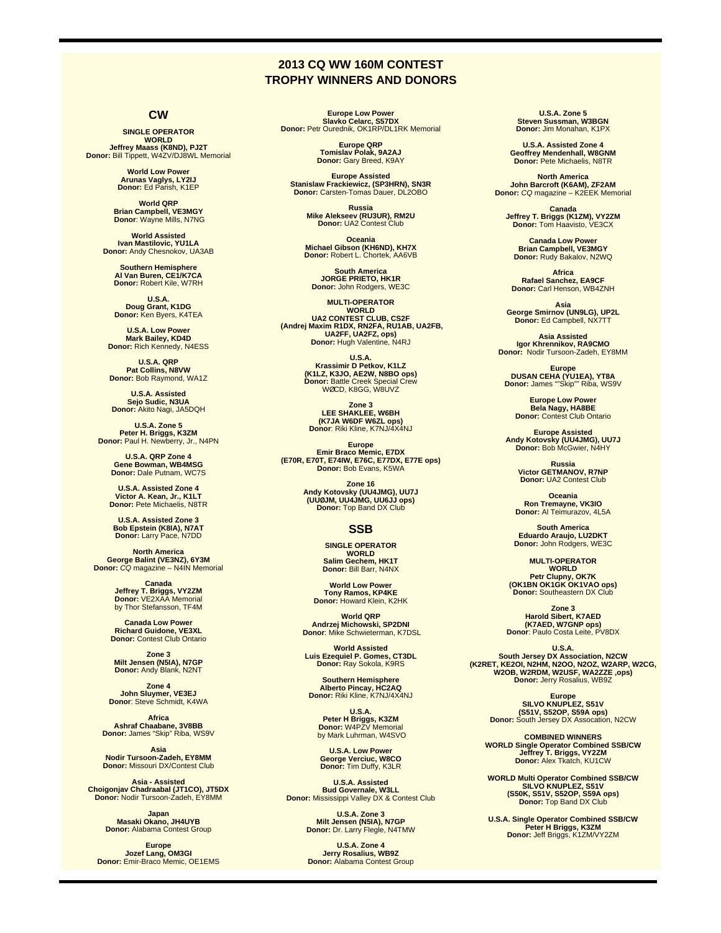# **2013 CQ WW 160M CONTEST TROPHY WINNERS AND DONORS**

# **CW**

**SINGLE OPERATOR WORLD<br>Jeffrey Maass (K8ND), PJ2T<br>Donor: Bill Tippett, W4ZV/DJ8WL Memorial** 

> **World Low Power Arunas Vaglys, LY2IJ Donor:** Ed Parish, K1EP

**World QRP Brian Campbell, VE3MGY Donor**: Wayne Mills, N7NG

**World Assisted Ivan Mastilovic, YU1LA Donor:** Andy Chesnokov, UA3AB

**Southern Hemisphere Al Van Buren, CE1/K7CA Donor:** Robert Kile, W7RH

**U.S.A. Doug Grant, K1DG Donor:** Ken Byers, K4TEA

**U.S.A. Low Power Mark Bailey, KD4D Donor:** Rich Kennedy, N4ESS

**U.S.A. QRP Pat Collins, N8VW Donor:** Bob Raymond, WA1Z

**U.S.A. Assisted Sejo Sudic, N3UA Donor:** Akito Nagi, JA5DQH

**U.S.A. Zone 5 Peter H. Briggs, K3ZM Donor:** Paul H. Newberry, Jr., N4PN

**U.S.A. QRP Zone 4 Gene Bowman, WB4MSG Donor:** Dale Putnam, WC7S

**U.S.A. Assisted Zone 4 Victor A. Kean, Jr., K1LT Donor:** Pete Michaelis, N8TR

**U.S.A. Assisted Zone 3 Bob Epstein (K8IA), N7AT Donor:** Larry Pace, N7DD

**North America George Balint (VE3NZ), 6Y3M Donor:** CQ magazine – N4IN Memorial

> **Canada Jeffrey T. Briggs, VY2ZM Donor:** VE2XAA Memorial by Thor Stefansson, TF4M

**Canada Low Power Richard Guidone, VE3XL Donor:** Contest Club Ontario

**Zone 3 Milt Jensen (N5IA), N7GP Donor:** Andy Blank, N2NT

**Zone 4 John Sluymer, VE3EJ Donor**: Steve Schmidt, K4WA

**Africa Ashraf Chaabane, 3V8BB Donor:** James "Skip" Riba, WS9V

**Asia Nodir Tursoon-Zadeh, EY8MM Donor:** Missouri DX/Contest Club

**Asia - Assisted Choigonjav Chadraabal (JT1CO), JT5DX Donor:** Nodir Tursoon-Zadeh, EY8MM

**Japan<br>Masaki Okano, JH4UYB<br><b>Donor**: Alabama Contest Group

**Europe Jozef Lang, OM3GI Donor:** Emir-Braco Memic, OE1EMS

**Europe Low Power Slavko Celarc, S57DX Donor:** Petr Ourednik, OK1RP/DL1RK Memorial

> **Europe QRP Tomislav Polak, 9A2AJ Donor:** Gary Breed, K9AY

**Europe Assisted Stanislaw Frackiewicz, (SP3HRN), SN3R Donor:** Carsten-Tomas Dauer, DL2OBO

**Russia Mike Alekseev (RU3UR), RM2U Donor:** UA2 Contest Club

**Oceania Michael Gibson (KH6ND), KH7X Donor:** Robert L. Chortek, AA6VB

**South America JORGE PRIETO, HK1R Donor:** John Rodgers, WE3C

**MULTI-OPERATOR WORLD UA2 CONTEST CLUB, CS2F (Andrej Maxim R1DX, RN2FA, RU1AB, UA2FB, UA2FF, UA2FZ, ops) Donor:** Hugh Valentine, N4RJ

> **U.S.A. Krassimir D Petkov, K1LZ (K1LZ, K3JO, AE2W, N8BO ops) Donor:** Battle Creek Special Crew WØCD, K8GG, W8UVZ

**Zone 3 LEE SHAKLEE, W6BH (K7JA W6DF W6ZL ops) Donor**: Riki Kline, K7NJ/4X4NJ

**Europe Emir Braco Memic, E7DX (E70R, E70T, E74IW, E76C, E77DX, E77E ops) Donor:** Bob Evans, K5WA

> **Zone 16 Andy Kotovsky (UU4JMG), UU7J (UUØJM, UU4JMG, UU6JJ ops) Donor: Top Band DX Club**

#### **SSB**

**SINGLE OPERATOR WORLD Salim Gechem, HK1T Donor:** Bill Barr, N4NX

**World Low Power Tony Ramos, KP4KE Donor:** Howard Klein, K2HK

**World QRP Andrzej Michowski, SP2DNI Donor**: Mike Schwieterman, K7DSL

**World Assisted Luis Ezequiel P. Gomes, CT3DL Donor:** Ray Sokola, K9RS

**Southern Hemisphere Alberto Pincay, HC2AQ Donor:** Riki Kline, K7NJ/4X4NJ

**U.S.A. Peter H Briggs, K3ZM Donor:** W4PZV Memorial by Mark Luhrman, W4SVO

**U.S.A. Low Power George Verciuc, W8CO Donor:** Tim Duffy, K3LR

**U.S.A. Assisted Bud Governale, W3LL Donor:** Mississippi Valley DX & Contest Club

**U.S.A. Zone 3 Milt Jensen (N5IA), N7GP Donor:** Dr. Larry Flegle, N4TMW

**U.S.A. Zone 4 Jerry Rosalius, WB9Z Donor:** Alabama Contest Group

**U.S.A. Zone 5 Steven Sussman, W3BGN Donor:** Jim Monahan, K1PX

**U.S.A. Assisted Zone 4 Geoffrey Mendenhall, W8GNM Donor:** Pete Michaelis, N8TR

**North America John Barcroft (K6AM), ZF2AM Donor:** CQ magazine – K2EEK Memorial

**Canada Jeffrey T. Briggs (K1ZM), VY2ZM Donor:** Tom Haavisto, VE3CX

**Canada Low Power Brian Campbell, VE3MGY Donor:** Rudy Bakalov, N2WQ

**Africa Rafael Sanchez, EA9CF Donor:** Carl Henson, WB4ZNH

**Asia George Smirnov (UN9LG), UP2L Donor:** Ed Campbell, NX7TT

**Asia Assisted Igor Khrennikov, RA9CMO Donor:** Nodir Tursoon-Zadeh, EY8MM

**Europe<br>DUSAN CEHA (YU1EA), YT8A<br>Donor: James ""Skip"" Riba, WS9V** 

**Europe Low Power Bela Nagy, HA8BE Donor:** Contest Club Ontario

**Europe Assisted Andy Kotovsky (UU4JMG), UU7J Donor:** Bob McGwier, N4HY

**Russia Victor GETMANOV, R7NP Donor:** UA2 Contest Club

**Oceania Ron Tremayne, VK3IO Donor:** Al Teimurazov, 4L5A

**South America Eduardo Araujo, LU2DKT Donor:** John Rodgers, WE3C

**MULTI-OPERATOR WORLD Petr Clupny, OK7K (OK1BN OK1GK OK1VAO ops) Donor:** Southeastern DX Club

**Zone 3 Harold Sibert, K7AED (K7AED, W7GNP ops) Donor**: Paulo Costa Leite, PV8DX

**U.S.A. South Jersey DX Association, N2CW (K2RET, KE2OI, N2HM, N2OO, N2OZ, W2ARP, W2CG, W2OB, W2RDM, W2USF, WA2ZZE ,ops) Donor:** Jerry Rosalius, WB9Z

> **Europe SILVO KNUPLEZ, S51V (S51V, S52OP, S59A ops) Donor:** South Jersey DX Assocation, N2CW

**COMBINED WINNERS WORLD Single Operator Combined SSB/CW Jeffrey T. Briggs, VY2ZM Donor:** Alex Tkatch, KU1CW

**WORLD Multi Operator Combined SSB/CW SILVO KNUPLEZ, S51V (S50K, S51V, S52OP, S59A ops) Donor:** Top Band DX Club

**U.S.A. Single Operator Combined SSB/CW Peter H Briggs, K3ZM Donor:** Jeff Briggs, K1ZM/VY2ZM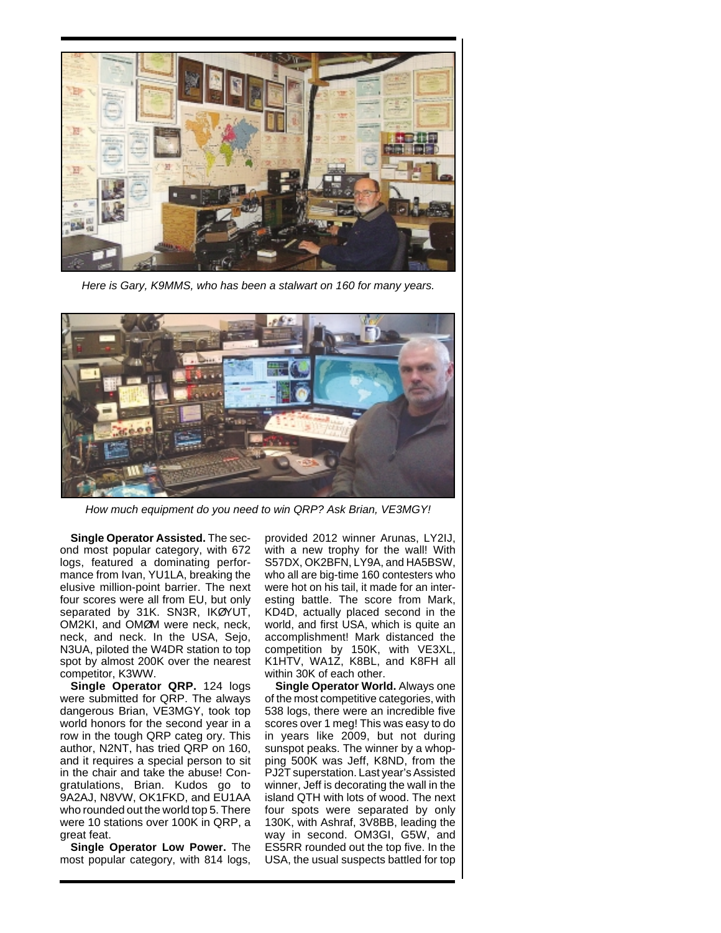

Here is Gary, K9MMS, who has been a stalwart on 160 for many years.



How much equipment do you need to win QRP? Ask Brian, VE3MGY!

**Single Operator Assisted.** The second most popular category, with 672 logs, featured a dominating performance from Ivan, YU1LA, breaking the elusive million-point barrier. The next four scores were all from EU, but only separated by 31K. SN3R, IKØYUT, OM2KI, and OMØM were neck, neck, neck, and neck. In the USA, Sejo, N3UA, piloted the W4DR station to top spot by almost 200K over the nearest competitor, K3WW.

**Single Operator QRP.** 124 logs were submitted for QRP. The always dangerous Brian, VE3MGY, took top world honors for the second year in a row in the tough QRP categ ory. This author, N2NT, has tried QRP on 160, and it requires a special person to sit in the chair and take the abuse! Congratulations, Brian. Kudos go to 9A2AJ, N8VW, OK1FKD, and EU1AA who rounded out the world top 5. There were 10 stations over 100K in QRP, a great feat.

**Single Operator Low Power.** The most popular category, with 814 logs,

provided 2012 winner Arunas, LY2IJ, with a new trophy for the wall! With S57DX, OK2BFN, LY9A, and HA5BSW, who all are big-time 160 contesters who were hot on his tail, it made for an interesting battle. The score from Mark, KD4D, actually placed second in the world, and first USA, which is quite an accomplishment! Mark distanced the competition by 150K, with VE3XL, K1HTV, WA1Z, K8BL, and K8FH all within 30K of each other.

**Single Operator World.** Always one of the most competitive categories, with 538 logs, there were an incredible five scores over 1 meg! This was easy to do in years like 2009, but not during sunspot peaks. The winner by a whopping 500K was Jeff, K8ND, from the PJ2T superstation. Last year's Assisted winner, Jeff is decorating the wall in the island QTH with lots of wood. The next four spots were separated by only 130K, with Ashraf, 3V8BB, leading the way in second. OM3GI, G5W, and ES5RR rounded out the top five. In the USA, the usual suspects battled for top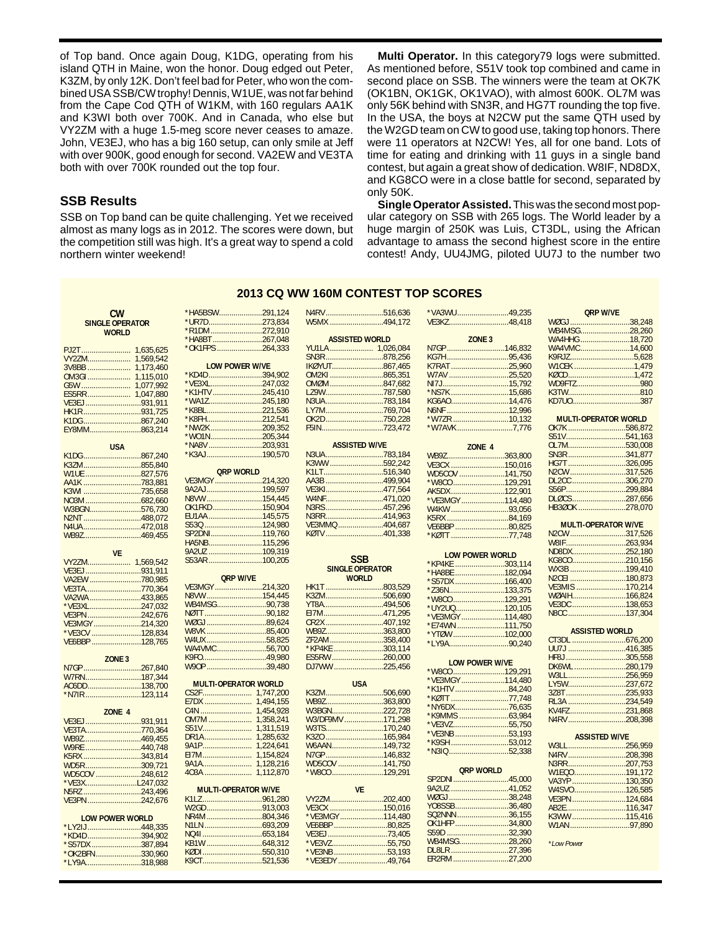of Top band. Once again Doug, K1DG, operating from his island QTH in Maine, won the honor. Doug edged out Peter, K3ZM, by only 12K. Don't feel bad for Peter, who won the combined USA SSB/CW trophy! Dennis, W1UE, was not far behind from the Cape Cod QTH of W1KM, with 160 regulars AA1K and K3WI both over 700K. And in Canada, who else but VY2ZM with a huge 1.5-meg score never ceases to amaze. John, VE3EJ, who has a big 160 setup, can only smile at Jeff with over 900K, good enough for second. VA2EW and VE3TA both with over 700K rounded out the top four.

#### **SSB Results**

SSB on Top band can be quite challenging. Yet we received almost as many logs as in 2012. The scores were down, but the competition still was high. It's a great way to spend a cold northern winter weekend!

**Multi Operator.** In this category79 logs were submitted. As mentioned before, S51V took top combined and came in second place on SSB. The winners were the team at OK7K (OK1BN, OK1GK, OK1VAO), with almost 600K. OL7M was only 56K behind with SN3R, and HG7T rounding the top five. In the USA, the boys at N2CW put the same QTH used by the W2GD team on CW to good use, taking top honors. There were 11 operators at N2CW! Yes, all for one band. Lots of time for eating and drinking with 11 guys in a single band contest, but again a great show of dedication. W8IF, ND8DX, and KG8CO were in a close battle for second, separated by only 50K.

**Single Operator Assisted.**This was the second most popular category on SSB with 265 logs. The World leader by a huge margin of 250K was Luis, CT3DL, using the African advantage to amass the second highest score in the entire contest! Andy, UU4JMG, piloted UU7J to the number two

# N4RV............................516,636 **2013 CQ WW 160M CONTEST TOP SCORES**

| <b>CW</b>                        |           | *HA5BSW291,124              |                        |
|----------------------------------|-----------|-----------------------------|------------------------|
| <b>SINGLE OPERATOR</b>           |           | *UR7D273,834                |                        |
|                                  |           | *R1DM 272,910               |                        |
| <b>WORLD</b>                     |           | *HA8BT 267,048              |                        |
|                                  |           |                             |                        |
| PJ2T                             | 1,635,625 | *OK1FPS 264,333             |                        |
| VY2ZM                            | 1,569,542 |                             |                        |
| 3V8BB  1,173,460                 |           | <b>LOW POWER W/VE</b>       |                        |
| OM3GI 1,115,010                  |           | *KD4D394,902                |                        |
|                                  |           | *VE3XL247.032               |                        |
| ES5RR 1,047,880                  |           | *K1HTV 245,410              |                        |
| VE3EJ 931,911                    |           | *WA1Z245,180                |                        |
| HK1R931,725                      |           | *K8BL221,536                |                        |
| K1DG867,240                      |           | *K8FH212,541                |                        |
|                                  |           | *NW2K 209,352               |                        |
| EY8MM863,214                     |           | *WO1N205,344                |                        |
|                                  |           | *NA8V 203,931               |                        |
| <b>USA</b>                       |           |                             |                        |
| K1DG867,240                      |           | *K3AJ190,570                |                        |
| K3ZM855,840                      |           |                             |                        |
| W1UE 827,576                     |           | <b>QRP WORLD</b>            |                        |
| AA1K 783,881                     |           | VE3MGY 214,320              |                        |
| K3WI 735,658                     |           | 9A2AJ199,597                |                        |
| NO3M 682,660                     |           | N8VW154,445                 |                        |
| W3BGN576,730                     |           | OK1FKD150,904               |                        |
| N2NT 488,072                     |           | EU1AA 145,575               |                        |
| N4UA472,018                      |           | S530 124,980                |                        |
| WB9Z469,455                      |           | SP2DNI119,760               |                        |
|                                  |           | HA5NB115,296                |                        |
| <b>VF</b>                        |           | 9A2UZ 109,319               |                        |
|                                  |           | S53AR 100,205               |                        |
| VY2ZM 1,569,542                  |           |                             |                        |
| VE3EJ 931,911                    |           |                             |                        |
| VA2EW 780,985                    |           | <b>QRP W/VE</b>             |                        |
| VE3TA770,364                     |           | VE3MGY 214,320              |                        |
| VA2WA 433,865                    |           | N8VW154,445                 |                        |
| *VE3XL247,032                    |           | WB4MSG90,738                |                        |
| VE3PN 242,676                    |           |                             |                        |
| VE3MGY 214,320                   |           | WØGJ 89,624                 |                        |
|                                  |           | W8VK 85,400                 |                        |
| *VE3CV 128,834<br>VE6BBP 128,765 |           | W4UX58,825                  |                        |
|                                  |           | WA4VMC56,700                |                        |
| ZONE <sub>3</sub>                |           | K9FO49,980                  |                        |
| N7GP267,840                      |           | W90P 39,480                 |                        |
|                                  |           |                             |                        |
| W7RN187,344                      |           | <b>MULTI-OPERATOR WORLD</b> |                        |
| AC6DD138,700                     |           |                             |                        |
| *N7IR123,114                     |           |                             |                        |
|                                  |           | E7DX<br>C4N                 | 1.494.155<br>1,454,928 |
| ZONE 4                           |           |                             |                        |
| VE3EJ 931,911                    |           | OM7M                        | 1,358,241              |
| VE3TA770,364                     |           | S51V                        | 1,311,519              |
| WB9Z469,455                      |           | DR1A                        | 1,285,632              |
| W9RE 440,748                     |           | 9A1P                        | 1,224,641              |
| K5RX 343,814                     |           | E17M                        | 1,154,824              |
| WD5R309,721                      |           | 9A1A                        | 1,128,216              |
| WD5COV 248,612                   |           | 403A                        | 1,112,870              |
| *VE3XL247,032                    |           |                             |                        |
| N5RZ 243,496                     |           | <b>MULTI-OPERATOR W/VE</b>  |                        |
| VE3PN 242,676                    |           | K1LZ961,280                 |                        |
|                                  |           | W2GD913,003                 |                        |
|                                  |           | NR4M804,346                 |                        |
| <b>LOW POWER WORLD</b>           |           |                             |                        |
| *LY2IJ 448,335                   |           |                             |                        |
| *KD4D 394,902                    |           |                             |                        |
| *S57DX 387,894                   |           |                             |                        |
| *OK2BFN330,960                   |           | KØDI550,310                 |                        |

\*LY9A...........................318,988

| *R1DM 272,910         |  |  |
|-----------------------|--|--|
| *HA8BT 267,048        |  |  |
| *OK1FPS 264,333       |  |  |
|                       |  |  |
| <b>LOW POWER W/VE</b> |  |  |
| *KD4D394,902          |  |  |
| *VE3XL247,032         |  |  |
| *K1HTV 245,410        |  |  |
| *WA1Z245,180          |  |  |
| *K8BL221,536          |  |  |
| *K8FH212,541          |  |  |
| *NW2K 209,352         |  |  |
| *WO1N205,344          |  |  |
| *NA8V 203,931         |  |  |
| *K3AJ190,570          |  |  |
|                       |  |  |
| <b>QRP WORLD</b>      |  |  |
| VE3MGY214,320         |  |  |
| 9A2AJ199,597          |  |  |
| N8VW154,445           |  |  |
| OK1FKD150,904         |  |  |
| EU1AA 145,575         |  |  |
|                       |  |  |

| 9A2UZ 109,319   |  |
|-----------------|--|
| S53AR 100,205   |  |
|                 |  |
| <b>ORP W/VE</b> |  |
| VE3MGY214,320   |  |
| N8VW154,445     |  |
| WB4MSG90,738    |  |
| NØTT 90,182     |  |
| WØGJ 89.624     |  |
| W8VK 85,400     |  |
| W4UX58,825      |  |
| WA4VMC56.700    |  |
| K9FO49,980      |  |
| W90P 39,480     |  |
|                 |  |

| <b>MULTI-OPERATOR WORLD</b> |           |  |
|-----------------------------|-----------|--|
| CS2F                        | 1.747.200 |  |
|                             | 1.494.155 |  |
| C4N                         | 1.454.928 |  |
| 0M7M                        | 1.358.241 |  |
| S51V                        | 1.311.519 |  |
| DR1A                        | 1.285.632 |  |
| 9A1P                        | 1.224.641 |  |
| FI7M                        | 1.154.824 |  |
| 9A1A                        | 1.128.216 |  |
|                             | 1.112.870 |  |
| MULTI ODEDATOD WAE          |           |  |

| W2GD913.003 |  |
|-------------|--|
| NR4M804.346 |  |
|             |  |
|             |  |
|             |  |
| KØDI550.310 |  |
| K9CT521.536 |  |
|             |  |

| W5MX 494,172          |  |  |
|-----------------------|--|--|
| <b>ASSISTED WORLD</b> |  |  |
| YU1LA  1,026,084      |  |  |
| SN3R878,256           |  |  |
| IKØYUT867,465         |  |  |
| OM2KI 865,351         |  |  |
| OMØM847.682           |  |  |
| LZ9W787.580           |  |  |
| N3UA 783,184          |  |  |
| LY7M769.704           |  |  |
| OK2D 750.228          |  |  |
| F5IN723,472           |  |  |
|                       |  |  |

| ASSISTED WAVE  |  |  |
|----------------|--|--|
| N3UA783,184    |  |  |
| K3WW 592.242   |  |  |
| K1LT516.340    |  |  |
| AA3B 499.904   |  |  |
| VE3KI477.564   |  |  |
|                |  |  |
| N3RS457.296    |  |  |
|                |  |  |
| VE3MMQ 404.687 |  |  |
| KØTV 401.338   |  |  |
|                |  |  |

**ASSISTED W/VE**

| USA                      |  |
|--------------------------|--|
| K3ZM506.690              |  |
| WB9Z363.800              |  |
|                          |  |
| W3/DF9MV 171.298         |  |
| W3TS170.240              |  |
|                          |  |
|                          |  |
| N <sub>7G</sub> P146.832 |  |
| WD5COV 141.750           |  |
| *W8CO 129.291            |  |
|                          |  |

| VF              |  |
|-----------------|--|
| VY2ZM202.400    |  |
| VE3CX 150.016   |  |
| *VE3MGY 114.480 |  |
|                 |  |
|                 |  |
| *VE3VZ55.750    |  |
| *VE3NB 53.193   |  |
| *VE3EDY 49.764  |  |
|                 |  |

| *VA3WU49,235      |  |
|-------------------|--|
| VE3KZ48.418       |  |
|                   |  |
| ZONE <sub>3</sub> |  |
| N7GP146.832       |  |
| KG7H95.436        |  |
| K7RAT 25.960      |  |
| W7AV 25,520       |  |
|                   |  |
| *NS7K 15,686      |  |
| KG6A014,476       |  |
| N6NF 12.996       |  |
| *W7ZR 10,132      |  |
| *W7AVK7,776       |  |
|                   |  |

| <b>70NF 4</b>  |  |  |
|----------------|--|--|
| WB9Z363.800    |  |  |
| VE3CX 150.016  |  |  |
| WD5COV 141.750 |  |  |
|                |  |  |
| AK5DX 122.901  |  |  |
| *VE3MGY114.480 |  |  |
|                |  |  |
|                |  |  |
| VE6BBP 80.825  |  |  |
| *KØTT 77,748   |  |  |

| I OW POWER WORLD |  |  |  |
|------------------|--|--|--|
| *KP4KE 303,114   |  |  |  |
| *HA8BE 182.094   |  |  |  |
| *S57DX 166,400   |  |  |  |
| *Z36N133,375     |  |  |  |
| *W8CO 129.291    |  |  |  |
| *UY2UQ120,105    |  |  |  |
| *VE3MGY 114,480  |  |  |  |
| *E74WN 111,750   |  |  |  |
| *YTØW 102,000    |  |  |  |
| *LY9A90,240      |  |  |  |

| <b>LOW POWER W/VE</b> |  |  |  |
|-----------------------|--|--|--|
| *W8CO 129,291         |  |  |  |
| *VE3MGY 114,480       |  |  |  |
| *K1HTV 84,240         |  |  |  |
| *KØTT 77,748          |  |  |  |
| *NY6DX76,635          |  |  |  |
|                       |  |  |  |
| *VE3VZ55,750          |  |  |  |
| *VE3NB 53,193         |  |  |  |
| *K9SH 53,012          |  |  |  |
|                       |  |  |  |

| ORP WORLD     |  |  |  |
|---------------|--|--|--|
| SP2DNI45,000  |  |  |  |
| 9A2UZ 41.052  |  |  |  |
| WØGJ 38,248   |  |  |  |
| YO8SSB36.480  |  |  |  |
| SQ2NNN 36.155 |  |  |  |
| OK1HFP34.800  |  |  |  |
|               |  |  |  |
| WB4MSG28.260  |  |  |  |
| DL8LR 27.396  |  |  |  |
| ER2RM 27.200  |  |  |  |
|               |  |  |  |

| <b>ORP W/VE</b> |  |  |  |
|-----------------|--|--|--|
| WØGJ 38.248     |  |  |  |
| WB4MSG28,260    |  |  |  |
| WA4HHG 18,720   |  |  |  |
| WA4VMC14,600    |  |  |  |
|                 |  |  |  |
| W1CEK 1,479     |  |  |  |
| KØCD1.472       |  |  |  |
| WD9FTZ980       |  |  |  |
|                 |  |  |  |
| KD7U0387        |  |  |  |
|                 |  |  |  |

| <b>MULTI-OPERATOR WORLD</b> |  |
|-----------------------------|--|
| OK7K 586,872                |  |
| S51V541,163                 |  |
| OL7M530.008                 |  |
| SN3R341.877                 |  |
| HG7T 326.095                |  |
| N2CW 317.526                |  |
| DL2CC 306.270               |  |
| S56P299.884                 |  |
| DLØCS287.656                |  |
| HB3Ø0K 278,070              |  |
|                             |  |

#### **MULTI-OPERATOR W/VE**

| N2CW317.526                |  |
|----------------------------|--|
|                            |  |
| ND8DX252.180               |  |
| KG8CO210.156               |  |
|                            |  |
| N <sub>2</sub> CFI 180.873 |  |
| VE3MIS 170.214             |  |
|                            |  |
|                            |  |
| N8CC137.304                |  |
|                            |  |

| <b>ASSISTED WORLD</b> |  |  |  |
|-----------------------|--|--|--|
|                       |  |  |  |
| UU7J 416.385          |  |  |  |
| HF8J305.558           |  |  |  |
| DK6WL280,179          |  |  |  |
|                       |  |  |  |
| LY5W237.672           |  |  |  |
|                       |  |  |  |
| RL3A 234,549          |  |  |  |
| KV4FZ231.868          |  |  |  |
| N4RV208,398           |  |  |  |

| <b>ASSISTED W/VE</b> |  |  |
|----------------------|--|--|
| W3LL256,959          |  |  |
| N4RV208.398          |  |  |
| N3RR207,753          |  |  |
| W1EQ0191.172         |  |  |
| VA3YP 130.350        |  |  |
| W4SVO126.585         |  |  |
|                      |  |  |
|                      |  |  |
| K3WW 115.416         |  |  |
|                      |  |  |
|                      |  |  |

*\*Low Power*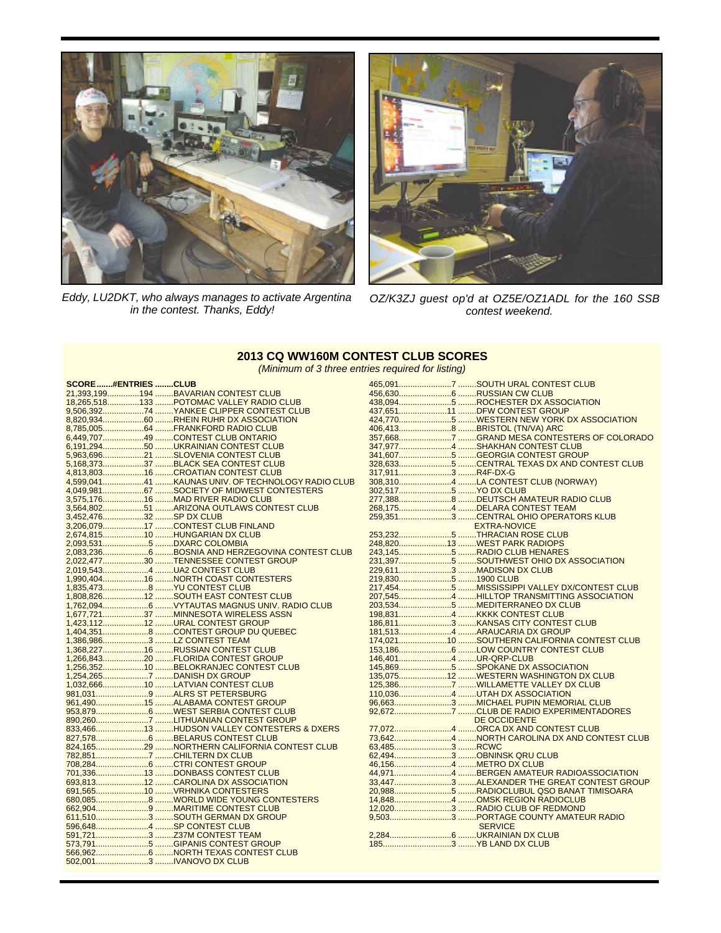

Eddy, LU2DKT, who always manages to activate Argentina in the contest. Thanks, Eddy!



OZ/K3ZJ guest op'd at OZ5E/OZ1ADL for the 160 SSB contest weekend.

#### **2013 CQ WW160M CONTEST CLUB SCORES** (Minimum of 3 three entries required for listing)

| SCORE#ENTRIESCLUB      |                                                   |                    |                                            |
|------------------------|---------------------------------------------------|--------------------|--------------------------------------------|
|                        | 21,393,199194 BAVARIAN CONTEST CLUB               |                    |                                            |
|                        | 18,265,518133 POTOMAC VALLEY RADIO CLUB           |                    | 438,0945 ROCHESTER DX ASSOCIATION          |
|                        | 9,506,39274  YANKEE CLIPPER CONTEST CLUB          |                    | 437,65111 DFW CONTEST GROUP                |
|                        | 8,820,93460 RHEIN RUHR DX ASSOCIATION             |                    | 424,7705 WESTERN NEW YORK DX ASSOCIATION   |
|                        | 8,785,00564 FRANKFORD RADIO CLUB                  |                    |                                            |
|                        | 6,449,70749 CONTEST CLUB ONTARIO                  |                    |                                            |
|                        | 6,191,29450 UKRAINIAN CONTEST CLUB                |                    |                                            |
|                        | 5,963,69621 SLOVENIA CONTEST CLUB                 |                    | 341,6075 GEORGIA CONTEST GROUP             |
|                        | 5,168,37337 BLACK SEA CONTEST CLUB                |                    |                                            |
|                        |                                                   | 317,9113 R4F-DX-G  |                                            |
|                        | 4,599,04141 KAUNAS UNIV. OF TECHNOLOGY RADIO CLUB |                    | 308,3104 LA CONTEST CLUB (NORWAY)          |
|                        | 4,049,98167 SOCIETY OF MIDWEST CONTESTERS         |                    |                                            |
|                        | 3,575,17616 MAD RIVER RADIO CLUB                  |                    |                                            |
|                        | 3,564,80251 ARIZONA OUTLAWS CONTEST CLUB          |                    | 268,1754 DELARA CONTEST TEAM               |
| 3,452,47632 SP DX CLUB |                                                   |                    | 259,3513 CENTRAL OHIO OPERATORS KLUB       |
|                        | 3,206,07917 CONTEST CLUB FINLAND                  |                    | <b>EXTRA-NOVICE</b>                        |
|                        |                                                   |                    |                                            |
|                        | 2,674,81510 HUNGARIAN DX CLUB                     |                    |                                            |
|                        |                                                   |                    | 248,82013 WEST PARK RADIOPS                |
|                        |                                                   |                    |                                            |
|                        | 2,022,47730 TENNESSEE CONTEST GROUP               |                    | 231,3975 SOUTHWEST OHIO DX ASSOCIATION     |
|                        | 2,019,5434 UA2 CONTEST CLUB                       |                    | 229,6113 MADISON DX CLUB                   |
|                        | 1,990,40416 NORTH COAST CONTESTERS                | 219,8305 1900 CLUB |                                            |
|                        | 1,835,4738 YU CONTEST CLUB                        |                    |                                            |
|                        | 1,808,82612 SOUTH EAST CONTEST CLUB               |                    |                                            |
|                        |                                                   |                    |                                            |
|                        | 1,677,72137 MINNESOTA WIRELESS ASSN               |                    |                                            |
|                        | 1,423,11212 URAL CONTEST GROUP                    |                    | 186,8113 KANSAS CITY CONTEST CLUB          |
|                        | 1,404,3518 CONTEST GROUP DU QUEBEC                |                    | 181,5134 ARAUCARIA DX GROUP                |
|                        | 1,386,9863 LZ CONTEST TEAM                        |                    | 174,02110 SOUTHERN CALIFORNIA CONTEST CLUB |
|                        | 1,368,22716 RUSSIAN CONTEST CLUB                  |                    |                                            |
|                        | 1,266,84320 FLORIDA CONTEST GROUP                 |                    |                                            |
|                        | 1,256,35210 BELOKRANJEC CONTEST CLUB              |                    | 135,07512 WESTERN WASHINGTON DX CLUB       |
|                        | 1,032,66610 LATVIAN CONTEST CLUB                  |                    |                                            |
|                        |                                                   |                    | 110,0364 UTAH DX ASSOCIATION               |
|                        | 961,49015 ALABAMA CONTEST GROUP                   |                    |                                            |
|                        |                                                   |                    |                                            |
|                        |                                                   |                    | DE OCCIDENTE                               |
|                        | 833,46613 HUDSON VALLEY CONTESTERS & DXERS        |                    |                                            |
|                        |                                                   |                    |                                            |
|                        |                                                   |                    |                                            |
|                        |                                                   |                    |                                            |
|                        |                                                   |                    |                                            |
|                        | 701,33613 DONBASS CONTEST CLUB                    |                    |                                            |
|                        | 693,81312 CAROLINA DX ASSOCIATION                 |                    |                                            |
|                        | 691,56510 VRHNIKA CONTESTERS                      |                    |                                            |
|                        |                                                   |                    |                                            |
|                        | 662,9049 MARITIME CONTEST CLUB                    |                    | 12,0203 RADIO CLUB OF REDMOND              |
|                        | 611,5103 SOUTH GERMAN DX GROUP                    |                    |                                            |
|                        |                                                   |                    | <b>SERVICE</b>                             |
|                        | 591,7213 Z37M CONTEST TEAM                        |                    |                                            |
|                        |                                                   |                    |                                            |
|                        |                                                   |                    |                                            |
|                        | 502,0013 IVANOVO DX CLUB                          |                    |                                            |
|                        |                                                   |                    |                                            |